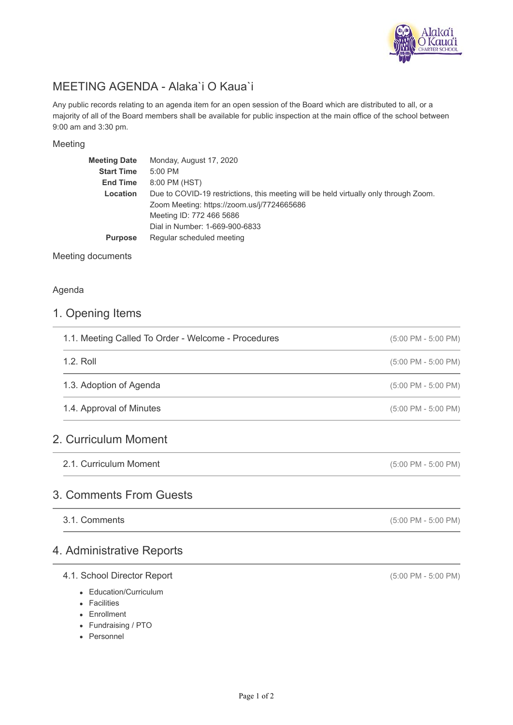

# MEETING AGENDA - Alaka`i O Kaua`i

Any public records relating to an agenda item for an open session of the Board which are distributed to all, or a majority of all of the Board members shall be available for public inspection at the main office of the school between 9:00 am and 3:30 pm.

#### Meeting

| <b>Meeting Date</b> | Monday, August 17, 2020                                                              |
|---------------------|--------------------------------------------------------------------------------------|
| <b>Start Time</b>   | 5:00 PM                                                                              |
| <b>End Time</b>     | 8:00 PM (HST)                                                                        |
| Location            | Due to COVID-19 restrictions, this meeting will be held virtually only through Zoom. |
|                     | Zoom Meeting: https://zoom.us/j/7724665686                                           |
|                     | Meeting ID: 772 466 5686                                                             |
|                     | Dial in Number: 1-669-900-6833                                                       |
| <b>Purpose</b>      | Regular scheduled meeting                                                            |
|                     |                                                                                      |

#### Meeting documents

#### Agenda

#### 1. Opening Items

| 1.1. Meeting Called To Order - Welcome - Procedures | $(5:00 \text{ PM} - 5:00 \text{ PM})$ |
|-----------------------------------------------------|---------------------------------------|
| $1.2.$ Roll                                         | $(5:00 \text{ PM} - 5:00 \text{ PM})$ |
| 1.3. Adoption of Agenda                             | $(5:00 \text{ PM} - 5:00 \text{ PM})$ |
| 1.4. Approval of Minutes                            | $(5:00 \text{ PM} - 5:00 \text{ PM})$ |

2.1. Curriculum Moment

# 3. Comments From Guests

3.1. Comments

### 4. Administrative Reports

#### 4.1. School Director Report

- Education/Curriculum
- Facilities
- Enrollment
- Fundraising / PTO
- Personnel

(5:00 PM - 5:00 PM)

(5:00 PM - 5:00 PM)

(5:00 PM - 5:00 PM)